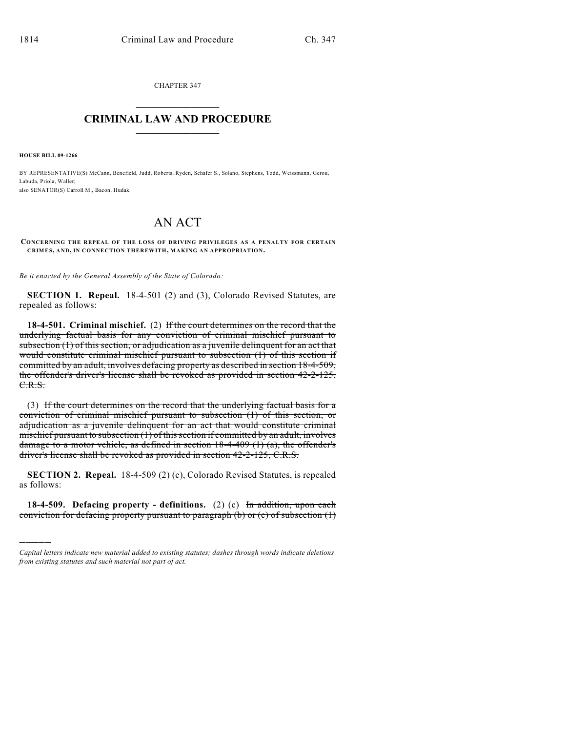CHAPTER 347  $\mathcal{L}_\text{max}$  . The set of the set of the set of the set of the set of the set of the set of the set of the set of the set of the set of the set of the set of the set of the set of the set of the set of the set of the set

## **CRIMINAL LAW AND PROCEDURE**  $\frac{1}{2}$  ,  $\frac{1}{2}$  ,  $\frac{1}{2}$  ,  $\frac{1}{2}$  ,  $\frac{1}{2}$  ,  $\frac{1}{2}$  ,  $\frac{1}{2}$

**HOUSE BILL 09-1266**

)))))

BY REPRESENTATIVE(S) McCann, Benefield, Judd, Roberts, Ryden, Schafer S., Solano, Stephens, Todd, Weissmann, Gerou, Labuda, Priola, Waller; also SENATOR(S) Carroll M., Bacon, Hudak.

## AN ACT

**CONCERNING THE REPEAL OF THE LOSS OF DRIVING PRIVILEGES AS A PENALTY FOR CERTAIN CRIMES, AND, IN CONNECTION THEREWITH, MAKING AN APPROPRIATION.**

*Be it enacted by the General Assembly of the State of Colorado:*

**SECTION 1. Repeal.** 18-4-501 (2) and (3), Colorado Revised Statutes, are repealed as follows:

**18-4-501. Criminal mischief.** (2) If the court determines on the record that the underlying factual basis for any conviction of criminal mischief pursuant to subsection (1) of this section, or adjudication as a juvenile delinquent for an act that would constitute criminal mischief pursuant to subsection (1) of this section if committed by an adult, involves defacing property as described in section 18-4-509, the offender's driver's license shall be revoked as provided in section 42-2-125, C.R.S.

(3) If the court determines on the record that the underlying factual basis for a conviction of criminal mischief pursuant to subsection (1) of this section, or adjudication as a juvenile delinquent for an act that would constitute criminal mischief pursuant to subsection (1) of this section if committed by an adult, involves damage to a motor vehicle, as defined in section  $18-4-409$  (1) (a), the offender's driver's license shall be revoked as provided in section 42-2-125, C.R.S.

**SECTION 2. Repeal.** 18-4-509 (2) (c), Colorado Revised Statutes, is repealed as follows:

**18-4-509. Defacing property - definitions.** (2) (c) In addition, upon each conviction for defacing property pursuant to paragraph (b) or (c) of subsection (1)

*Capital letters indicate new material added to existing statutes; dashes through words indicate deletions from existing statutes and such material not part of act.*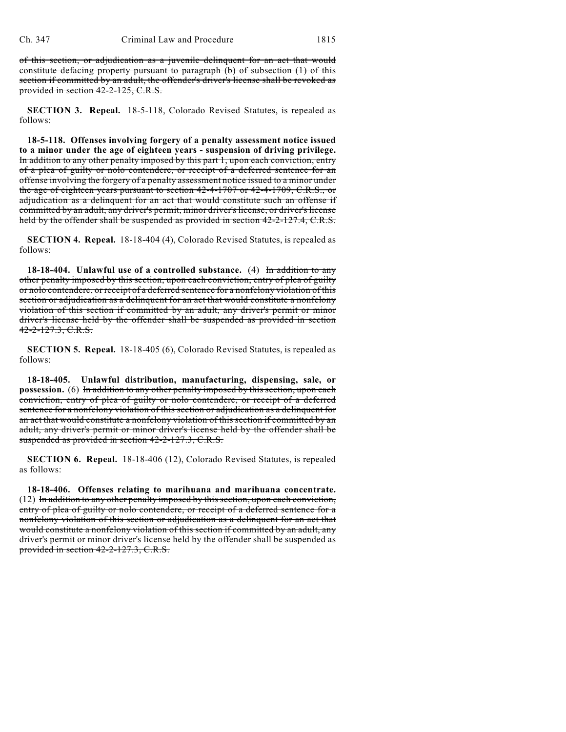of this section, or adjudication as a juvenile delinquent for an act that would constitute defacing property pursuant to paragraph (b) of subsection (1) of this section if committed by an adult, the offender's driver's license shall be revoked as provided in section 42-2-125, C.R.S.

**SECTION 3. Repeal.** 18-5-118, Colorado Revised Statutes, is repealed as follows:

**18-5-118. Offenses involving forgery of a penalty assessment notice issued to a minor under the age of eighteen years - suspension of driving privilege.** In addition to any other penalty imposed by this part 1, upon each conviction, entry of a plea of guilty or nolo contendere, or receipt of a deferred sentence for an offense involving the forgery of a penalty assessment notice issued to a minor under the age of eighteen years pursuant to section 42-4-1707 or 42-4-1709, C.R.S., or adjudication as a delinquent for an act that would constitute such an offense if committed by an adult, any driver's permit, minor driver's license, or driver's license held by the offender shall be suspended as provided in section 42-2-127.4, C.R.S.

**SECTION 4. Repeal.** 18-18-404 (4), Colorado Revised Statutes, is repealed as follows:

**18-18-404. Unlawful use of a controlled substance.** (4) In addition to any other penalty imposed by this section, upon each conviction, entry of plea of guilty or nolo contendere, or receipt of a deferred sentence for a nonfelony violation of this section or adjudication as a delinquent for an act that would constitute a nonfelony violation of this section if committed by an adult, any driver's permit or minor driver's license held by the offender shall be suspended as provided in section 42-2-127.3, C.R.S.

**SECTION 5. Repeal.** 18-18-405 (6), Colorado Revised Statutes, is repealed as follows:

**18-18-405. Unlawful distribution, manufacturing, dispensing, sale, or possession.** (6) In addition to any other penalty imposed by this section, upon each conviction, entry of plea of guilty or nolo contendere, or receipt of a deferred sentence for a nonfelony violation of this section or adjudication as a delinquent for an act that would constitute a nonfelony violation of this section if committed by an adult, any driver's permit or minor driver's license held by the offender shall be suspended as provided in section 42-2-127.3, C.R.S.

**SECTION 6. Repeal.** 18-18-406 (12), Colorado Revised Statutes, is repealed as follows:

**18-18-406. Offenses relating to marihuana and marihuana concentrate.** (12) In addition to any other penalty imposed by this section, upon each conviction, entry of plea of guilty or nolo contendere, or receipt of a deferred sentence for a nonfelony violation of this section or adjudication as a delinquent for an act that would constitute a nonfelony violation of this section if committed by an adult, any driver's permit or minor driver's license held by the offender shall be suspended as provided in section 42-2-127.3, C.R.S.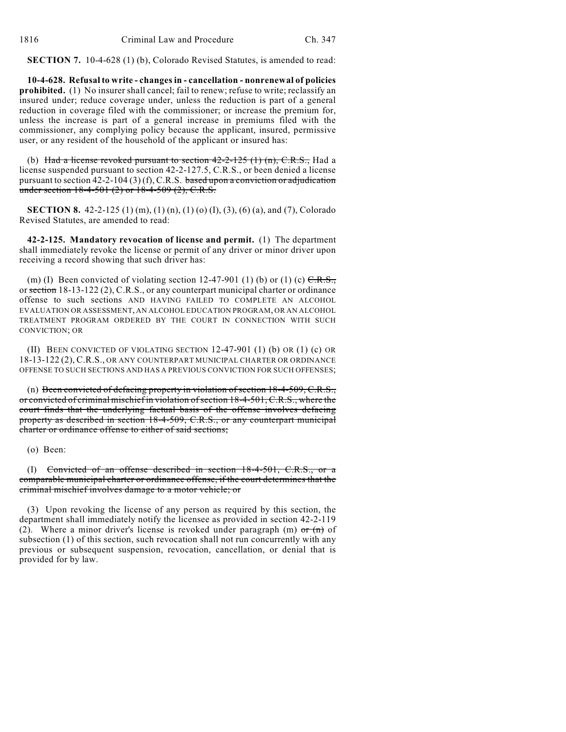**SECTION 7.** 10-4-628 (1) (b), Colorado Revised Statutes, is amended to read:

**10-4-628. Refusal to write - changes in - cancellation - nonrenewal of policies prohibited.** (1) No insurer shall cancel; fail to renew; refuse to write; reclassify an insured under; reduce coverage under, unless the reduction is part of a general reduction in coverage filed with the commissioner; or increase the premium for, unless the increase is part of a general increase in premiums filed with the commissioner, any complying policy because the applicant, insured, permissive user, or any resident of the household of the applicant or insured has:

(b) Had a license revoked pursuant to section  $42-2-125(1)$  (n), C.R.S., Had a license suspended pursuant to section 42-2-127.5, C.R.S., or been denied a license pursuant to section  $42-2-104$  (3) (f), C.R.S. based upon a conviction or adjudication under section  $18-4-501$  (2) or  $18-4-509$  (2), C.R.S.

**SECTION 8.** 42-2-125 (1) (m), (1) (n), (1) (o) (I), (3), (6) (a), and (7), Colorado Revised Statutes, are amended to read:

**42-2-125. Mandatory revocation of license and permit.** (1) The department shall immediately revoke the license or permit of any driver or minor driver upon receiving a record showing that such driver has:

(m) (I) Been convicted of violating section 12-47-901 (1) (b) or (1) (c)  $C.R.S.,$ or section 18-13-122 (2), C.R.S., or any counterpart municipal charter or ordinance offense to such sections AND HAVING FAILED TO COMPLETE AN ALCOHOL EVALUATION OR ASSESSMENT, AN ALCOHOL EDUCATION PROGRAM, OR AN ALCOHOL TREATMENT PROGRAM ORDERED BY THE COURT IN CONNECTION WITH SUCH CONVICTION; OR

(II) BEEN CONVICTED OF VIOLATING SECTION 12-47-901 (1) (b) OR (1) (c) OR 18-13-122 (2), C.R.S., OR ANY COUNTERPART MUNICIPAL CHARTER OR ORDINANCE OFFENSE TO SUCH SECTIONS AND HAS A PREVIOUS CONVICTION FOR SUCH OFFENSES;

(n) Been convicted of defacing property in violation of section  $18-4-509$ , C.R.S., or convicted of criminal mischief in violation of section 18-4-501, C.R.S., where the court finds that the underlying factual basis of the offense involves defacing property as described in section 18-4-509, C.R.S., or any counterpart municipal charter or ordinance offense to either of said sections;

(o) Been:

(I) Convicted of an offense described in section 18-4-501, C.R.S., or a comparable municipal charter or ordinance offense, if the court determines that the criminal mischief involves damage to a motor vehicle; or

(3) Upon revoking the license of any person as required by this section, the department shall immediately notify the licensee as provided in section 42-2-119 (2). Where a minor driver's license is revoked under paragraph (m)  $\sigma$  (n) of subsection (1) of this section, such revocation shall not run concurrently with any previous or subsequent suspension, revocation, cancellation, or denial that is provided for by law.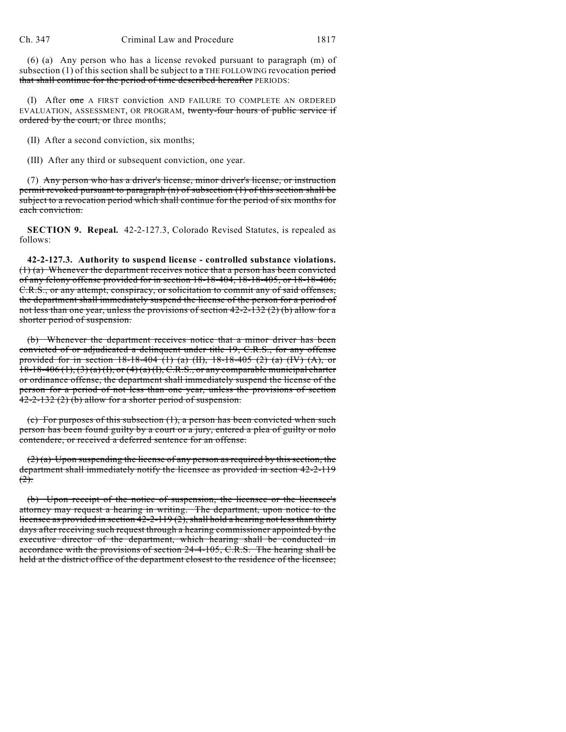(6) (a) Any person who has a license revoked pursuant to paragraph (m) of subsection (1) of this section shall be subject to  $\alpha$  THE FOLLOWING revocation period that shall continue for the period of time described hereafter PERIODS:

(I) After one A FIRST conviction AND FAILURE TO COMPLETE AN ORDERED EVALUATION, ASSESSMENT, OR PROGRAM, twenty-four hours of public service if ordered by the court, or three months;

(II) After a second conviction, six months;

(III) After any third or subsequent conviction, one year.

(7) Any person who has a driver's license, minor driver's license, or instruction permit revoked pursuant to paragraph (n) of subsection (1) of this section shall be subject to a revocation period which shall continue for the period of six months for each conviction.

**SECTION 9. Repeal.** 42-2-127.3, Colorado Revised Statutes, is repealed as follows:

**42-2-127.3. Authority to suspend license - controlled substance violations.** (1) (a) Whenever the department receives notice that a person has been convicted of any felony offense provided for in section 18-18-404, 18-18-405, or 18-18-406, C.R.S., or any attempt, conspiracy, or solicitation to commit any of said offenses, the department shall immediately suspend the license of the person for a period of not less than one year, unless the provisions of section  $42-2-132(2)$  (b) allow for a shorter period of suspension.

(b) Whenever the department receives notice that a minor driver has been convicted of or adjudicated a delinquent under title 19, C.R.S., for any offense provided for in section 18-18-404 (1) (a) (II), 18-18-405 (2) (a) (IV) (A), or  $18-18-406(1)$ ,  $(3)(a)(1)$ , or  $(4)(a)(1)$ , C.R.S., or any comparable municipal charter or ordinance offense, the department shall immediately suspend the license of the person for a period of not less than one year, unless the provisions of section 42-2-132 (2) (b) allow for a shorter period of suspension.

(c) For purposes of this subsection (1), a person has been convicted when such person has been found guilty by a court or a jury, entered a plea of guilty or nolo contendere, or received a deferred sentence for an offense.

 $(2)$  (a) Upon suspending the license of any person as required by this section, the department shall immediately notify the licensee as provided in section 42-2-119  $(2)$ .

(b) Upon receipt of the notice of suspension, the licensee or the licensee's attorney may request a hearing in writing. The department, upon notice to the licensee as provided in section  $42-2-119(2)$ , shall hold a hearing not less than thirty days after receiving such request through a hearing commissioner appointed by the executive director of the department, which hearing shall be conducted in accordance with the provisions of section 24-4-105, C.R.S. The hearing shall be held at the district office of the department closest to the residence of the licensee;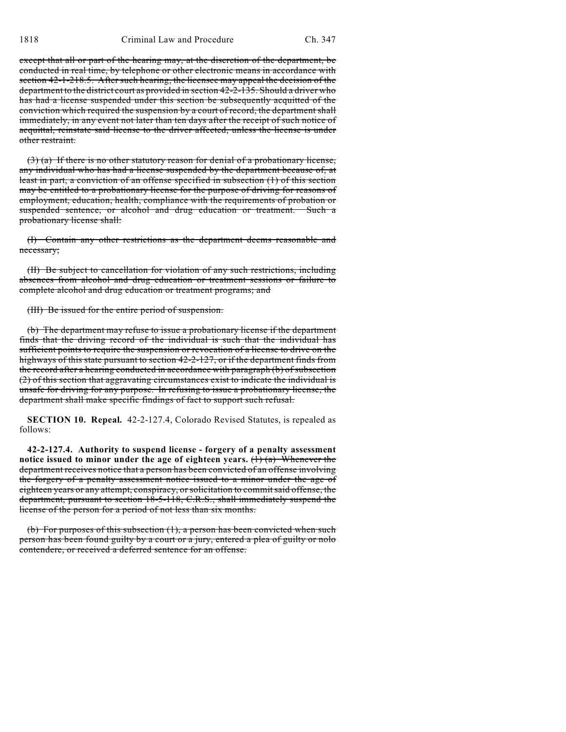except that all or part of the hearing may, at the discretion of the department, be conducted in real time, by telephone or other electronic means in accordance with section 42-1-218.5. After such hearing, the licensee may appeal the decision of the department to the district court as provided in section 42-2-135. Should a driver who has had a license suspended under this section be subsequently acquitted of the conviction which required the suspension by a court of record, the department shall immediately, in any event not later than ten days after the receipt of such notice of acquittal, reinstate said license to the driver affected, unless the license is under other restraint.

 $(3)$  (a) If there is no other statutory reason for denial of a probationary license, any individual who has had a license suspended by the department because of, at least in part, a conviction of an offense specified in subsection (1) of this section may be entitled to a probationary license for the purpose of driving for reasons of employment, education, health, compliance with the requirements of probation or suspended sentence, or alcohol and drug education or treatment. Such a probationary license shall:

(I) Contain any other restrictions as the department deems reasonable and necessary;

(II) Be subject to cancellation for violation of any such restrictions, including absences from alcohol and drug education or treatment sessions or failure to complete alcohol and drug education or treatment programs; and

(III) Be issued for the entire period of suspension.

(b) The department may refuse to issue a probationary license if the department finds that the driving record of the individual is such that the individual has sufficient points to require the suspension or revocation of a license to drive on the highways of this state pursuant to section 42-2-127, or if the department finds from the record after a hearing conducted in accordance with paragraph (b) of subsection (2) of this section that aggravating circumstances exist to indicate the individual is unsafe for driving for any purpose. In refusing to issue a probationary license, the department shall make specific findings of fact to support such refusal.

**SECTION 10. Repeal.** 42-2-127.4, Colorado Revised Statutes, is repealed as follows:

**42-2-127.4. Authority to suspend license - forgery of a penalty assessment notice issued to minor under the age of eighteen years.** (1) (a) Whenever the department receives notice that a person has been convicted of an offense involving the forgery of a penalty assessment notice issued to a minor under the age of eighteen years or any attempt, conspiracy, or solicitation to commit said offense, the department, pursuant to section 18-5-118, C.R.S., shall immediately suspend the license of the person for a period of not less than six months.

(b) For purposes of this subsection (1), a person has been convicted when such person has been found guilty by a court or a jury, entered a plea of guilty or nolo contendere, or received a deferred sentence for an offense.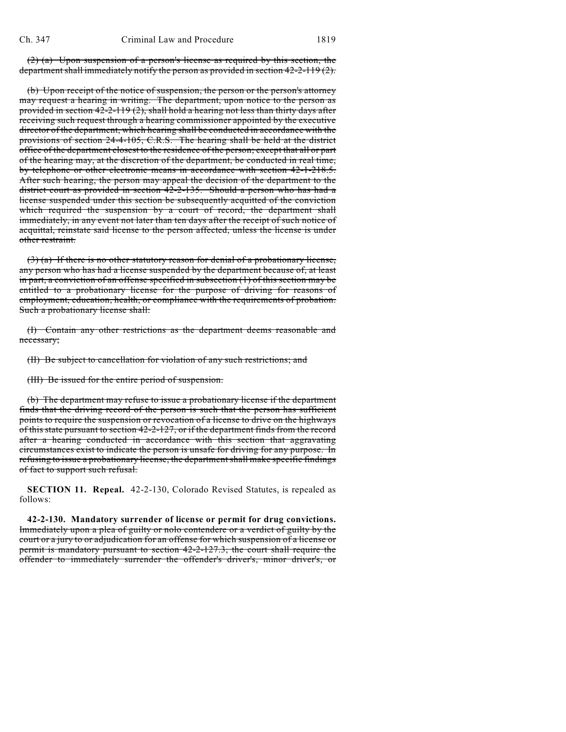(2) (a) Upon suspension of a person's license as required by this section, the department shall immediately notify the person as provided in section 42-2-119 (2).

(b) Upon receipt of the notice of suspension, the person or the person's attorney may request a hearing in writing. The department, upon notice to the person as provided in section  $42-2-119(2)$ , shall hold a hearing not less than thirty days after receiving such request through a hearing commissioner appointed by the executive director of the department, which hearing shall be conducted in accordance with the provisions of section 24-4-105, C.R.S. The hearing shall be held at the district office of the department closest to the residence of the person; except that all or part of the hearing may, at the discretion of the department, be conducted in real time, by telephone or other electronic means in accordance with section 42-1-218.5. After such hearing, the person may appeal the decision of the department to the district court as provided in section 42-2-135. Should a person who has had a license suspended under this section be subsequently acquitted of the conviction which required the suspension by a court of record, the department shall immediately, in any event not later than ten days after the receipt of such notice of acquittal, reinstate said license to the person affected, unless the license is under other restraint.

(3) (a) If there is no other statutory reason for denial of a probationary license, any person who has had a license suspended by the department because of, at least in part, a conviction of an offense specified in subsection (1) of this section may be entitled to a probationary license for the purpose of driving for reasons of employment, education, health, or compliance with the requirements of probation. Such a probationary license shall:

(I) Contain any other restrictions as the department deems reasonable and necessary;

(II) Be subject to cancellation for violation of any such restrictions; and

(III) Be issued for the entire period of suspension.

(b) The department may refuse to issue a probationary license if the department finds that the driving record of the person is such that the person has sufficient points to require the suspension or revocation of a license to drive on the highways of this state pursuant to section 42-2-127, or if the department finds from the record after a hearing conducted in accordance with this section that aggravating circumstances exist to indicate the person is unsafe for driving for any purpose. In refusing to issue a probationary license, the department shall make specific findings of fact to support such refusal.

**SECTION 11. Repeal.** 42-2-130, Colorado Revised Statutes, is repealed as follows:

**42-2-130. Mandatory surrender of license or permit for drug convictions.** Immediately upon a plea of guilty or nolo contendere or a verdict of guilty by the court or a jury to or adjudication for an offense for which suspension of a license or permit is mandatory pursuant to section 42-2-127.3, the court shall require the offender to immediately surrender the offender's driver's, minor driver's, or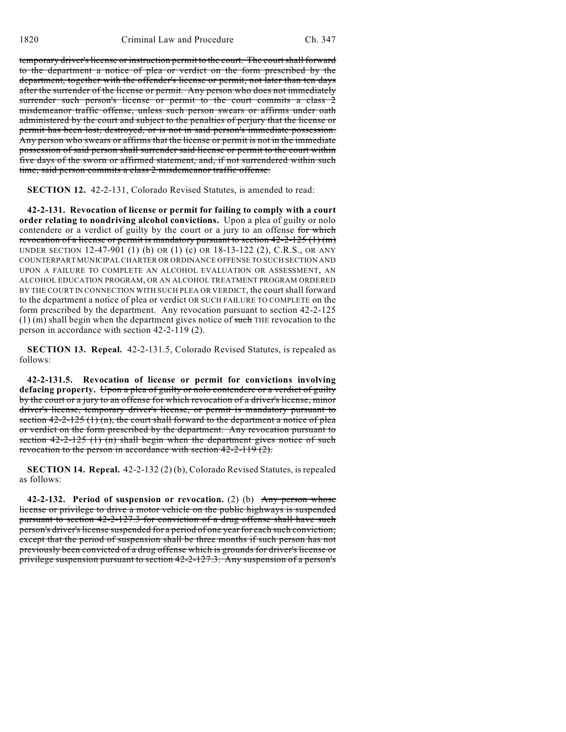temporary driver's license or instruction permit to the court. The court shall forward to the department a notice of plea or verdict on the form prescribed by the department, together with the offender's license or permit, not later than ten days after the surrender of the license or permit. Any person who does not immediately surrender such person's license or permit to the court commits a class 2 misdemeanor traffic offense, unless such person swears or affirms under oath administered by the court and subject to the penalties of perjury that the license or permit has been lost, destroyed, or is not in said person's immediate possession. Any person who swears or affirms that the license or permit is not in the immediate possession of said person shall surrender said license or permit to the court within five days of the sworn or affirmed statement, and, if not surrendered within such time, said person commits a class 2 misdemeanor traffic offense.

**SECTION 12.** 42-2-131, Colorado Revised Statutes, is amended to read:

**42-2-131. Revocation of license or permit for failing to comply with a court order relating to nondriving alcohol convictions.** Upon a plea of guilty or nolo contendere or a verdict of guilty by the court or a jury to an offense for which revocation of a license or permit is mandatory pursuant to section  $42-2-125(1)(m)$ UNDER SECTION 12-47-901 (1) (b) OR (1) (c) OR 18-13-122 (2), C.R.S., OR ANY COUNTERPART MUNICIPAL CHARTER OR ORDINANCE OFFENSE TO SUCH SECTION AND UPON A FAILURE TO COMPLETE AN ALCOHOL EVALUATION OR ASSESSMENT, AN ALCOHOL EDUCATION PROGRAM, OR AN ALCOHOL TREATMENT PROGRAM ORDERED BY THE COURT IN CONNECTION WITH SUCH PLEA OR VERDICT, the court shall forward to the department a notice of plea or verdict OR SUCH FAILURE TO COMPLETE on the form prescribed by the department. Any revocation pursuant to section 42-2-125  $(1)$  (m) shall begin when the department gives notice of such THE revocation to the person in accordance with section 42-2-119 (2).

**SECTION 13. Repeal.** 42-2-131.5, Colorado Revised Statutes, is repealed as follows:

**42-2-131.5. Revocation of license or permit for convictions involving defacing property.** Upon a plea of guilty or nolo contendere or a verdict of guilty by the court or a jury to an offense for which revocation of a driver's license, minor driver's license, temporary driver's license, or permit is mandatory pursuant to section  $42-2-125$  (1) (n), the court shall forward to the department a notice of plea or verdict on the form prescribed by the department. Any revocation pursuant to section 42-2-125 (1) (n) shall begin when the department gives notice of such revocation to the person in accordance with section 42-2-119 (2).

**SECTION 14. Repeal.** 42-2-132 (2) (b), Colorado Revised Statutes, is repealed as follows:

**42-2-132. Period of suspension or revocation.** (2) (b) Any person whose license or privilege to drive a motor vehicle on the public highways is suspended pursuant to section 42-2-127.3 for conviction of a drug offense shall have such person's driver's license suspended for a period of one year for each such conviction; except that the period of suspension shall be three months if such person has not previously been convicted of a drug offense which is grounds for driver's license or privilege suspension pursuant to section 42-2-127.3. Any suspension of a person's